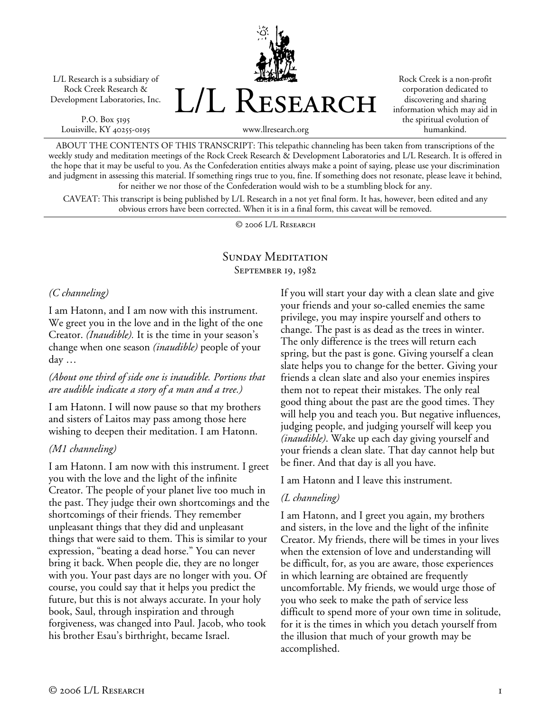L/L Research is a subsidiary of Rock Creek Research & Development Laboratories, Inc.

P.O. Box 5195 Louisville, KY 40255-0195 L/L Research

Rock Creek is a non-profit corporation dedicated to discovering and sharing information which may aid in the spiritual evolution of humankind.

www.llresearch.org

ABOUT THE CONTENTS OF THIS TRANSCRIPT: This telepathic channeling has been taken from transcriptions of the weekly study and meditation meetings of the Rock Creek Research & Development Laboratories and L/L Research. It is offered in the hope that it may be useful to you. As the Confederation entities always make a point of saying, please use your discrimination and judgment in assessing this material. If something rings true to you, fine. If something does not resonate, please leave it behind, for neither we nor those of the Confederation would wish to be a stumbling block for any.

CAVEAT: This transcript is being published by L/L Research in a not yet final form. It has, however, been edited and any obvious errors have been corrected. When it is in a final form, this caveat will be removed.

© 2006 L/L Research

## SUNDAY MEDITATION September 19, 1982

## *(C channeling)*

I am Hatonn, and I am now with this instrument. We greet you in the love and in the light of the one Creator. *(Inaudible).* It is the time in your season's change when one season *(inaudible)* people of your day …

# *(About one third of side one is inaudible. Portions that are audible indicate a story of a man and a tree.)*

I am Hatonn. I will now pause so that my brothers and sisters of Laitos may pass among those here wishing to deepen their meditation. I am Hatonn.

# *(M1 channeling)*

I am Hatonn. I am now with this instrument. I greet you with the love and the light of the infinite Creator. The people of your planet live too much in the past. They judge their own shortcomings and the shortcomings of their friends. They remember unpleasant things that they did and unpleasant things that were said to them. This is similar to your expression, "beating a dead horse." You can never bring it back. When people die, they are no longer with you. Your past days are no longer with you. Of course, you could say that it helps you predict the future, but this is not always accurate. In your holy book, Saul, through inspiration and through forgiveness, was changed into Paul. Jacob, who took his brother Esau's birthright, became Israel.

If you will start your day with a clean slate and give your friends and your so-called enemies the same privilege, you may inspire yourself and others to change. The past is as dead as the trees in winter. The only difference is the trees will return each spring, but the past is gone. Giving yourself a clean slate helps you to change for the better. Giving your friends a clean slate and also your enemies inspires them not to repeat their mistakes. The only real good thing about the past are the good times. They will help you and teach you. But negative influences, judging people, and judging yourself will keep you *(inaudible)*. Wake up each day giving yourself and your friends a clean slate. That day cannot help but be finer. And that day is all you have.

I am Hatonn and I leave this instrument.

# *(L channeling)*

I am Hatonn, and I greet you again, my brothers and sisters, in the love and the light of the infinite Creator. My friends, there will be times in your lives when the extension of love and understanding will be difficult, for, as you are aware, those experiences in which learning are obtained are frequently uncomfortable. My friends, we would urge those of you who seek to make the path of service less difficult to spend more of your own time in solitude, for it is the times in which you detach yourself from the illusion that much of your growth may be accomplished.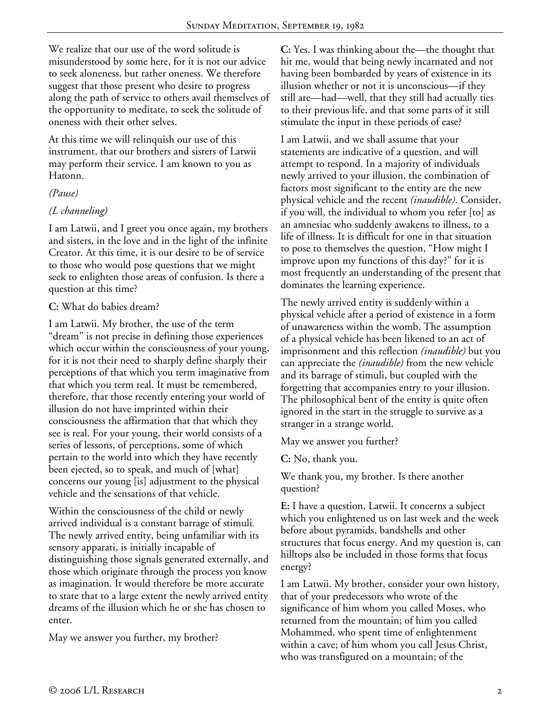We realize that our use of the word solitude is misunderstood by some here, for it is not our advice to seek aloneness, but rather oneness. We therefore suggest that those present who desire to progress along the path of service to others avail themselves of the opportunity to meditate, to seek the solitude of oneness with their other selves.

At this time we will relinquish our use of this instrument, that our brothers and sisters of Latwii may perform their service. I am known to you as Hatonn.

## *(Pause)*

# *(L channeling)*

I am Latwii, and I greet you once again, my brothers and sisters, in the love and in the light of the infinite Creator. At this time, it is our desire to be of service to those who would pose questions that we might seek to enlighten those areas of confusion. Is there a question at this time?

## **C:** What do babies dream?

I am Latwii. My brother, the use of the term "dream" is not precise in defining those experiences which occur within the consciousness of your young, for it is not their need to sharply define sharply their perceptions of that which you term imaginative from that which you term real. It must be remembered, therefore, that those recently entering your world of illusion do not have imprinted within their consciousness the affirmation that that which they see is real. For your young, their world consists of a series of lessons, of perceptions, some of which pertain to the world into which they have recently been ejected, so to speak, and much of [what] concerns our young [is] adjustment to the physical vehicle and the sensations of that vehicle.

Within the consciousness of the child or newly arrived individual is a constant barrage of stimuli. The newly arrived entity, being unfamiliar with its sensory apparati, is initially incapable of distinguishing those signals generated externally, and those which originate through the process you know as imagination. It would therefore be more accurate to state that to a large extent the newly arrived entity dreams of the illusion which he or she has chosen to enter.

May we answer you further, my brother?

**C:** Yes. I was thinking about the—the thought that hit me, would that being newly incarnated and not having been bombarded by years of existence in its illusion whether or not it is unconscious—if they still are—had—well, that they still had actually ties to their previous life, and that some parts of it still stimulate the input in these periods of ease?

I am Latwii, and we shall assume that your statements are indicative of a question, and will attempt to respond. In a majority of individuals newly arrived to your illusion, the combination of factors most significant to the entity are the new physical vehicle and the recent *(inaudible)*. Consider, if you will, the individual to whom you refer [to] as an amnesiac who suddenly awakens to illness, to a life of illness. It is difficult for one in that situation to pose to themselves the question, "How might I improve upon my functions of this day?" for it is most frequently an understanding of the present that dominates the learning experience.

The newly arrived entity is suddenly within a physical vehicle after a period of existence in a form of unawareness within the womb. The assumption of a physical vehicle has been likened to an act of imprisonment and this reflection *(inaudible)* but you can appreciate the *(inaudible)* from the new vehicle and its barrage of stimuli, but coupled with the forgetting that accompanies entry to your illusion. The philosophical bent of the entity is quite often ignored in the start in the struggle to survive as a stranger in a strange world.

May we answer you further?

**C:** No, thank you.

We thank you, my brother. Is there another question?

**E:** I have a question, Latwii. It concerns a subject which you enlightened us on last week and the week before about pyramids, bandshells and other structures that focus energy. And my question is, can hilltops also be included in those forms that focus energy?

I am Latwii. My brother, consider your own history, that of your predecessors who wrote of the significance of him whom you called Moses, who returned from the mountain; of him you called Mohammed, who spent time of enlightenment within a cave; of him whom you call Jesus Christ, who was transfigured on a mountain; of the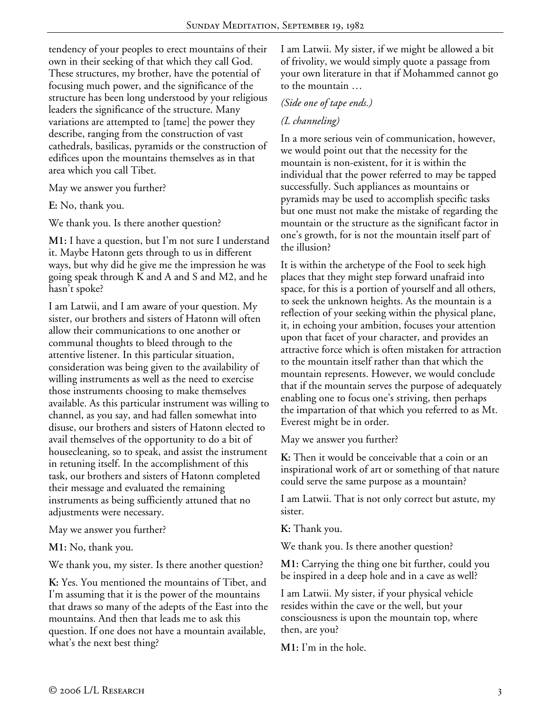tendency of your peoples to erect mountains of their own in their seeking of that which they call God. These structures, my brother, have the potential of focusing much power, and the significance of the structure has been long understood by your religious leaders the significance of the structure. Many variations are attempted to [tame] the power they describe, ranging from the construction of vast cathedrals, basilicas, pyramids or the construction of edifices upon the mountains themselves as in that area which you call Tibet.

May we answer you further?

**E:** No, thank you.

We thank you. Is there another question?

**M1:** I have a question, but I'm not sure I understand it. Maybe Hatonn gets through to us in different ways, but why did he give me the impression he was going speak through K and A and S and M2, and he hasn't spoke?

I am Latwii, and I am aware of your question. My sister, our brothers and sisters of Hatonn will often allow their communications to one another or communal thoughts to bleed through to the attentive listener. In this particular situation, consideration was being given to the availability of willing instruments as well as the need to exercise those instruments choosing to make themselves available. As this particular instrument was willing to channel, as you say, and had fallen somewhat into disuse, our brothers and sisters of Hatonn elected to avail themselves of the opportunity to do a bit of housecleaning, so to speak, and assist the instrument in retuning itself. In the accomplishment of this task, our brothers and sisters of Hatonn completed their message and evaluated the remaining instruments as being sufficiently attuned that no adjustments were necessary.

May we answer you further?

**M1:** No, thank you.

We thank you, my sister. Is there another question?

**K:** Yes. You mentioned the mountains of Tibet, and I'm assuming that it is the power of the mountains that draws so many of the adepts of the East into the mountains. And then that leads me to ask this question. If one does not have a mountain available, what's the next best thing?

I am Latwii. My sister, if we might be allowed a bit of frivolity, we would simply quote a passage from your own literature in that if Mohammed cannot go to the mountain …

#### *(Side one of tape ends.)*

#### *(L channeling)*

In a more serious vein of communication, however, we would point out that the necessity for the mountain is non-existent, for it is within the individual that the power referred to may be tapped successfully. Such appliances as mountains or pyramids may be used to accomplish specific tasks but one must not make the mistake of regarding the mountain or the structure as the significant factor in one's growth, for is not the mountain itself part of the illusion?

It is within the archetype of the Fool to seek high places that they might step forward unafraid into space, for this is a portion of yourself and all others, to seek the unknown heights. As the mountain is a reflection of your seeking within the physical plane, it, in echoing your ambition, focuses your attention upon that facet of your character, and provides an attractive force which is often mistaken for attraction to the mountain itself rather than that which the mountain represents. However, we would conclude that if the mountain serves the purpose of adequately enabling one to focus one's striving, then perhaps the impartation of that which you referred to as Mt. Everest might be in order.

May we answer you further?

**K:** Then it would be conceivable that a coin or an inspirational work of art or something of that nature could serve the same purpose as a mountain?

I am Latwii. That is not only correct but astute, my sister.

**K:** Thank you.

We thank you. Is there another question?

**M1:** Carrying the thing one bit further, could you be inspired in a deep hole and in a cave as well?

I am Latwii. My sister, if your physical vehicle resides within the cave or the well, but your consciousness is upon the mountain top, where then, are you?

**M1:** I'm in the hole.